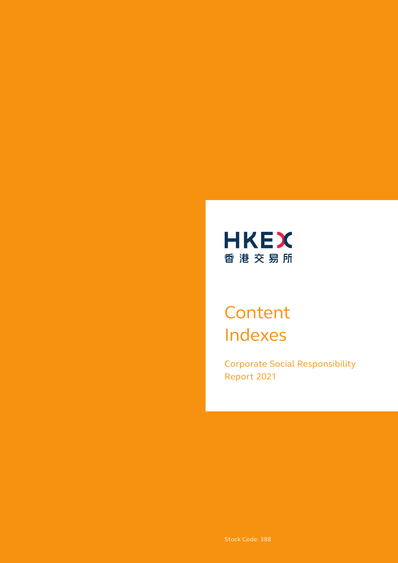

# **Content** Indexes

Corporate Social Responsibility Report 2021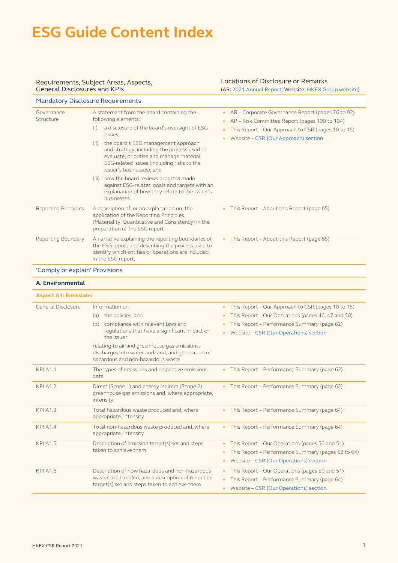#### Requirements, Subject Areas, Aspects, General Disclosures and KPIs

#### Locations of Disclosure or Remarks (AR: [2021 Annual Report](https://www.hkexgroup.com/-/media/HKEX-Group-Site/ssd/Investor-Relations/Regulatory-Reports/documents/2022/220314ar_e.pdf); Website: [HKEX Group website\)](https://www.hkexgroup.com/?sc_lang=en)

| <b>Mandatory Disclosure Requirements</b> |                                                                                                                                                                                                                                                                                                                                                                                                                                                                                                                          |                                                                                                                                                                                                                 |
|------------------------------------------|--------------------------------------------------------------------------------------------------------------------------------------------------------------------------------------------------------------------------------------------------------------------------------------------------------------------------------------------------------------------------------------------------------------------------------------------------------------------------------------------------------------------------|-----------------------------------------------------------------------------------------------------------------------------------------------------------------------------------------------------------------|
| Governance<br>Structure                  | A statement from the board containing the<br>following elements:<br>a disclosure of the board's oversight of ESG<br>(i)<br>issues:<br>the board's ESG management approach<br>(ii)<br>and strategy, including the process used to<br>evaluate, prioritise and manage material<br>ESG-related issues (including risks to the<br>issuer's businesses); and<br>how the board reviews progress made<br>(iii)<br>against ESG-related goals and targets with an<br>explanation of how they relate to the issuer's<br>businesses | • AR - Corporate Governance Report (pages 76 to 92)<br>AR - Risk Committee Report (pages 100 to 104)<br>$\bullet$<br>This Report – Our Approach to CSR (pages 10 to 15)<br>Website - CSR (Our Approach) section |
| <b>Reporting Principles</b>              | A description of, or an explanation on, the<br>application of the Reporting Principles<br>(Materiality, Quantitative and Consistency) in the<br>preparation of the ESG report                                                                                                                                                                                                                                                                                                                                            | This Report - About this Report (page 65)                                                                                                                                                                       |
| Reporting Boundary                       | A narrative explaining the reporting boundaries of<br>the ESG report and describing the process used to<br>identify which entities or operations are included<br>in the ESG report.                                                                                                                                                                                                                                                                                                                                      | • This Report - About this Report (page 65)                                                                                                                                                                     |
| 'Comply or explain' Provisions           |                                                                                                                                                                                                                                                                                                                                                                                                                                                                                                                          |                                                                                                                                                                                                                 |
| A. Environmental                         |                                                                                                                                                                                                                                                                                                                                                                                                                                                                                                                          |                                                                                                                                                                                                                 |
| <b>Aspect A1: Emissions</b>              |                                                                                                                                                                                                                                                                                                                                                                                                                                                                                                                          |                                                                                                                                                                                                                 |
| General Disclosure                       | Information on:<br>the policies; and<br>(a)<br>compliance with relevant laws and<br>(b)<br>regulations that have a significant impact on                                                                                                                                                                                                                                                                                                                                                                                 | This Report – Our Approach to CSR (pages 10 to 15)<br>$\bullet$<br>This Report - Our Operations (pages 46, 47 and 50)<br>This Report - Performance Summary (page 62)<br>Website - CSR (Our Operations) section  |

#### **HKEX CSR Report 2021** 2008 2012 12:00:00 12:00:00 12:00:00 12:00:00 12:00:00 12:00:00 12:00:00 12:00:00 12:00:00 12:00:00 12:00:00 12:00:00 12:00:00 12:00:00 12:00:00 12:00:00 12:00:00 12:00:00 12:00:00 12:00:00 12:00:00

| <b>General Disclosure</b> | Information on:<br>the policies; and<br>(a)<br>compliance with relevant laws and<br>(b)<br>regulations that have a significant impact on<br>the issuer<br>relating to air and greenhouse gas emissions,<br>discharges into water and land, and generation of<br>hazardous and non-hazardous waste | This Report – Our Approach to CSR (pages 10 to 15)<br>This Report - Our Operations (pages 46, 47 and 50)<br>This Report - Performance Summary (page 62)<br>Website - CSR (Our Operations) section |
|---------------------------|---------------------------------------------------------------------------------------------------------------------------------------------------------------------------------------------------------------------------------------------------------------------------------------------------|---------------------------------------------------------------------------------------------------------------------------------------------------------------------------------------------------|
| <b>KPI A1.1</b>           | The types of emissions and respective emissions<br>data                                                                                                                                                                                                                                           | This Report - Performance Summary (page 62)                                                                                                                                                       |
| <b>KPI A1.2</b>           | Direct (Scope 1) and energy indirect (Scope 2)<br>greenhouse gas emissions and, where appropriate,<br>intensity                                                                                                                                                                                   | This Report - Performance Summary (page 62)                                                                                                                                                       |
| <b>KPI A1.3</b>           | Total hazardous waste produced and, where<br>appropriate, intensity                                                                                                                                                                                                                               | This Report - Performance Summary (page 64)                                                                                                                                                       |
| <b>KPI A1.4</b>           | Total non-hazardous waste produced and, where<br>appropriate, intensity                                                                                                                                                                                                                           | This Report – Performance Summary (page 64)<br>$\bullet$                                                                                                                                          |
| <b>KPI A1.5</b>           | Description of emission target(s) set and steps<br>taken to achieve them                                                                                                                                                                                                                          | This Report - Our Operations (pages 50 and 51)<br>This Report - Performance Summary (pages 62 to 64)<br>Website - CSR (Our Operations) section<br>$\bullet$                                       |
| <b>KPI A1.6</b>           | Description of how hazardous and non-hazardous<br>wastes are handled, and a description of reduction<br>target(s) set and steps taken to achieve them                                                                                                                                             | This Report - Our Operations (pages 50 and 51)<br>$\bullet$<br>This Report - Performance Summary (page 64)<br>Website - CSR (Our Operations) section                                              |
|                           |                                                                                                                                                                                                                                                                                                   |                                                                                                                                                                                                   |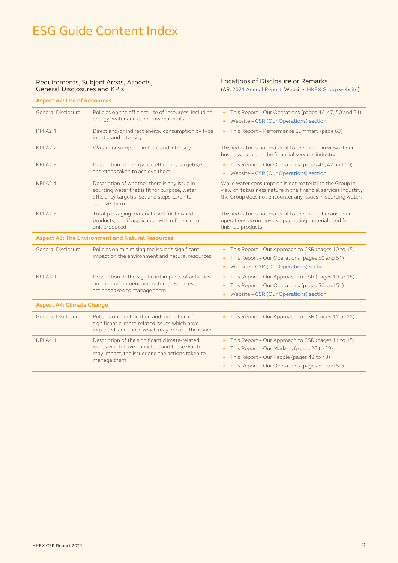#### Requirements, Subject Areas, Aspects, General Disclosures and KPIs

### Locations of Disclosure or Remarks

(AR: [2021 Annual Report](https://www.hkexgroup.com/-/media/HKEX-Group-Site/ssd/Investor-Relations/Regulatory-Reports/documents/2022/220314ar_e.pdf); Website: [HKEX Group website\)](https://www.hkexgroup.com/?sc_lang=en)

| <b>Aspect A2: Use of Resources</b> |                                                                                                                                                                 |                                                                                                                                                                                                              |
|------------------------------------|-----------------------------------------------------------------------------------------------------------------------------------------------------------------|--------------------------------------------------------------------------------------------------------------------------------------------------------------------------------------------------------------|
| General Disclosure                 | Policies on the efficient use of resources, including<br>energy, water and other raw materials                                                                  | This Report – Our Operations (pages 46, 47, 50 and 51)<br>Website - CSR (Our Operations) section<br>$\bullet$                                                                                                |
| <b>KPI A2.1</b>                    | Direct and/or indirect energy consumption by type<br>in total and intensity                                                                                     | This Report – Performance Summary (page 63)<br>$\bullet$                                                                                                                                                     |
| <b>KPI A2.2</b>                    | Water consumption in total and intensity                                                                                                                        | This indicator is not material to the Group in view of our<br>business nature in the financial services industry.                                                                                            |
| <b>KPI A2.3</b>                    | Description of energy use efficiency target(s) set<br>and steps taken to achieve them                                                                           | • This Report – Our Operations (pages 46, 47 and 50)<br>Website - CSR (Our Operations) section<br>$\bullet$                                                                                                  |
| <b>KPI A2.4</b>                    | Description of whether there is any issue in<br>sourcing water that is fit for purpose, water<br>efficiency target(s) set and steps taken to<br>achieve them    | While water consumption is not material to the Group in<br>view of its business nature in the financial services industry,<br>the Group does not encounter any issues in sourcing water.                     |
| <b>KPI A2.5</b>                    | Total packaging material used for finished<br>products, and if applicable, with reference to per<br>unit produced                                               | This indicator is not material to the Group because our<br>operations do not involve packaging material used for<br>finished products.                                                                       |
|                                    | <b>Aspect A3: The Environment and Natural Resources</b>                                                                                                         |                                                                                                                                                                                                              |
| General Disclosure                 | Policies on minimising the issuer's significant<br>impact on the environment and natural resources                                                              | • This Report - Our Approach to CSR (pages 10 to 15)<br>This Report - Our Operations (pages 50 and 51)<br>$\bullet$<br>Website - CSR (Our Operations) section<br>$\bullet$                                   |
| <b>KPI A3.1</b>                    | Description of the significant impacts of activities<br>on the environment and natural resources and<br>actions taken to manage them                            | This Report - Our Approach to CSR (pages 10 to 15)<br>$\bullet$<br>This Report - Our Operations (pages 50 and 51)<br>Website - CSR (Our Operations) section<br>$\bullet$                                     |
| <b>Aspect A4: Climate Change</b>   |                                                                                                                                                                 |                                                                                                                                                                                                              |
| General Disclosure                 | Policies on identification and mitigation of<br>significant climate-related issues which have<br>impacted, and those which may impact, the issuer               | This Report - Our Approach to CSR (pages 11 to 15)                                                                                                                                                           |
| <b>KPI A4.1</b>                    | Description of the significant climate-related<br>issues which have impacted, and those which<br>may impact, the issuer and the actions taken to<br>manage them | This Report - Our Approach to CSR (pages 11 to 15)<br>$\bullet$<br>This Report - Our Markets (pages 26 to 29)<br>This Report - Our People (pages 42 to 43)<br>This Report - Our Operations (pages 50 and 51) |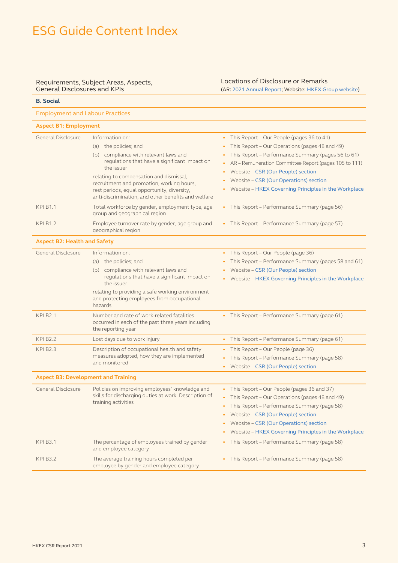#### Requirements, Subject Areas, Aspects, General Disclosures and KPIs

**B. Social**

### Locations of Disclosure or Remarks

(AR: [2021 Annual Report](https://www.hkexgroup.com/-/media/HKEX-Group-Site/ssd/Investor-Relations/Regulatory-Reports/documents/2022/220314ar_e.pdf); Website: [HKEX Group website\)](https://www.hkexgroup.com/?sc_lang=en)

| <b>Employment and Labour Practices</b>     |                                                                                                                                                                                                                                                                                                                                                |                                                                                                                                                                                                                                                                                                                                                                |  |
|--------------------------------------------|------------------------------------------------------------------------------------------------------------------------------------------------------------------------------------------------------------------------------------------------------------------------------------------------------------------------------------------------|----------------------------------------------------------------------------------------------------------------------------------------------------------------------------------------------------------------------------------------------------------------------------------------------------------------------------------------------------------------|--|
|                                            | <b>Aspect B1: Employment</b>                                                                                                                                                                                                                                                                                                                   |                                                                                                                                                                                                                                                                                                                                                                |  |
| General Disclosure                         | Information on:<br>(a) the policies; and<br>(b) compliance with relevant laws and<br>regulations that have a significant impact on<br>the issuer<br>relating to compensation and dismissal,<br>recruitment and promotion, working hours,<br>rest periods, equal opportunity, diversity,<br>anti-discrimination, and other benefits and welfare | • This Report - Our People (pages 36 to 41)<br>This Report - Our Operations (pages 48 and 49)<br>This Report - Performance Summary (pages 56 to 61)<br>AR - Remuneration Committee Report (pages 105 to 111)<br>٠<br>Website - CSR (Our People) section<br>٠<br>Website - CSR (Our Operations) section<br>Website - HKEX Governing Principles in the Workplace |  |
| <b>KPI B1.1</b>                            | Total workforce by gender, employment type, age<br>group and geographical region                                                                                                                                                                                                                                                               | • This Report - Performance Summary (page 56)                                                                                                                                                                                                                                                                                                                  |  |
| <b>KPI B1.2</b>                            | Employee turnover rate by gender, age group and<br>geographical region                                                                                                                                                                                                                                                                         | • This Report - Performance Summary (page 57)                                                                                                                                                                                                                                                                                                                  |  |
| <b>Aspect B2: Health and Safety</b>        |                                                                                                                                                                                                                                                                                                                                                |                                                                                                                                                                                                                                                                                                                                                                |  |
| General Disclosure                         | Information on:<br>(a) the policies; and<br>(b) compliance with relevant laws and<br>regulations that have a significant impact on<br>the issuer<br>relating to providing a safe working environment<br>and protecting employees from occupational<br>hazards                                                                                  | • This Report - Our People (page 36)<br>This Report - Performance Summary (pages 58 and 61)<br>Website - CSR (Our People) section<br>Website - HKEX Governing Principles in the Workplace                                                                                                                                                                      |  |
| <b>KPI B2.1</b>                            | Number and rate of work-related fatalities<br>occurred in each of the past three years including<br>the reporting year                                                                                                                                                                                                                         | • This Report - Performance Summary (page 61)                                                                                                                                                                                                                                                                                                                  |  |
| <b>KPI B2.2</b>                            | Lost days due to work injury                                                                                                                                                                                                                                                                                                                   | This Report - Performance Summary (page 61)<br>$\bullet$                                                                                                                                                                                                                                                                                                       |  |
| <b>KPI B2.3</b>                            | Description of occupational health and safety<br>measures adopted, how they are implemented<br>and monitored                                                                                                                                                                                                                                   | This Report - Our People (page 36)<br>٠<br>This Report - Performance Summary (page 58)<br>• Website - CSR (Our People) section                                                                                                                                                                                                                                 |  |
| <b>Aspect B3: Development and Training</b> |                                                                                                                                                                                                                                                                                                                                                |                                                                                                                                                                                                                                                                                                                                                                |  |
| General Disclosure                         | Policies on improving employees' knowledge and<br>skills for discharging duties at work. Description of<br>training activities                                                                                                                                                                                                                 | • This Report - Our People (pages 36 and 37)<br>This Report - Our Operations (pages 48 and 49)<br>• This Report - Performance Summary (page 58)<br>Website - CSR (Our People) section<br>Website – CSR (Our Operations) section<br>Website - HKEX Governing Principles in the Workplace                                                                        |  |
| <b>KPI B3.1</b>                            | The percentage of employees trained by gender<br>and employee category                                                                                                                                                                                                                                                                         | This Report - Performance Summary (page 58)<br>$\bullet$                                                                                                                                                                                                                                                                                                       |  |
| <b>KPI B3.2</b>                            | The average training hours completed per<br>employee by gender and employee category                                                                                                                                                                                                                                                           | This Report - Performance Summary (page 58)                                                                                                                                                                                                                                                                                                                    |  |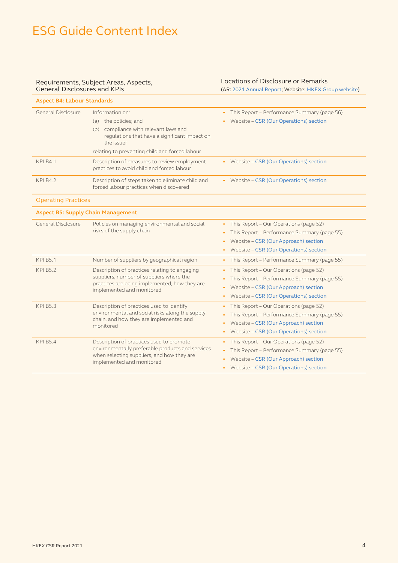#### Requirements, Subject Areas, Aspects, General Disclosures and KPIs

### Locations of Disclosure or Remarks

(AR: [2021 Annual Report](https://www.hkexgroup.com/-/media/HKEX-Group-Site/ssd/Investor-Relations/Regulatory-Reports/documents/2022/220314ar_e.pdf); Website: [HKEX Group website\)](https://www.hkexgroup.com/?sc_lang=en)

| <b>Aspect B4: Labour Standards</b>        |                                                                                                                                                                                                          |                                                                                                                                                                                      |
|-------------------------------------------|----------------------------------------------------------------------------------------------------------------------------------------------------------------------------------------------------------|--------------------------------------------------------------------------------------------------------------------------------------------------------------------------------------|
| General Disclosure                        | Information on:<br>the policies; and<br>(a)<br>compliance with relevant laws and<br>(b)<br>regulations that have a significant impact on<br>the issuer<br>relating to preventing child and forced labour | • This Report - Performance Summary (page 56)<br>Website - CSR (Our Operations) section                                                                                              |
| <b>KPI B4.1</b>                           | Description of measures to review employment<br>practices to avoid child and forced labour                                                                                                               | • Website - CSR (Our Operations) section                                                                                                                                             |
| <b>KPI B4.2</b>                           | Description of steps taken to eliminate child and<br>forced labour practices when discovered                                                                                                             | • Website - CSR (Our Operations) section                                                                                                                                             |
| <b>Operating Practices</b>                |                                                                                                                                                                                                          |                                                                                                                                                                                      |
| <b>Aspect B5: Supply Chain Management</b> |                                                                                                                                                                                                          |                                                                                                                                                                                      |
| General Disclosure                        | Policies on managing environmental and social<br>risks of the supply chain                                                                                                                               | This Report - Our Operations (page 52)<br>$\bullet$<br>This Report - Performance Summary (page 55)<br>Website - CSR (Our Approach) section<br>Website - CSR (Our Operations) section |
| <b>KPI B5.1</b>                           | Number of suppliers by geographical region                                                                                                                                                               | This Report - Performance Summary (page 55)<br>$\bullet$                                                                                                                             |
| <b>KPI B5.2</b>                           | Description of practices relating to engaging<br>suppliers, number of suppliers where the<br>practices are being implemented, how they are<br>implemented and monitored                                  | This Report - Our Operations (page 52)<br>$\bullet$<br>This Report - Performance Summary (page 55)<br>Website - CSR (Our Approach) section<br>Website - CSR (Our Operations) section |
| <b>KPI B5.3</b>                           | Description of practices used to identify<br>environmental and social risks along the supply<br>chain, and how they are implemented and<br>monitored                                                     | This Report - Our Operations (page 52)<br>This Report - Performance Summary (page 55)<br>Website - CSR (Our Approach) section<br>Website - CSR (Our Operations) section              |
| <b>KPI B5.4</b>                           | Description of practices used to promote<br>environmentally preferable products and services<br>when selecting suppliers, and how they are<br>implemented and monitored                                  | This Report - Our Operations (page 52)<br>This Report - Performance Summary (page 55)<br>Website - CSR (Our Approach) section<br>Website - CSR (Our Operations) section<br>$\bullet$ |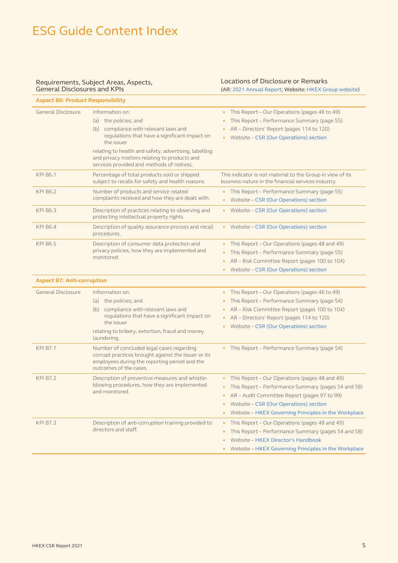#### Requirements, Subject Areas, Aspects, General Disclosures and KPIs

### Locations of Disclosure or Remarks

(AR: [2021 Annual Report](https://www.hkexgroup.com/-/media/HKEX-Group-Site/ssd/Investor-Relations/Regulatory-Reports/documents/2022/220314ar_e.pdf); Website: [HKEX Group website\)](https://www.hkexgroup.com/?sc_lang=en) **Aspect B6: Product Responsibility** General Disclosure Information on: (a) the policies; and (b) compliance with relevant laws and regulations that have a significant impact on the issuer relating to health and safety, advertising, labelling and privacy matters relating to products and services provided and methods of redress. • This Report – Our Operations (pages 46 to 49) • This Report – Performance Summary (page 55) • AR – Directors' Report (pages 114 to 120) • Website – [CSR \(Our Operations\) section](https://www.hkexgroup.com/-/media/HKEX-Group-Site/ssd/Corporate-Social-Responsibility/Documents/Management-Approach-to-Our-Operations.pdf) KPI B6.1 Percentage of total products sold or shipped subject to recalls for safety and health reasons. This indicator is not material to the Group in view of its business nature in the financial services industry KPI B6.2 Number of products and service related complaints received and how they are dealt with. • This Report – Performance Summary (page 55) • Website – [CSR \(Our Operations\) section](https://www.hkexgroup.com/-/media/HKEX-Group-Site/ssd/Corporate-Social-Responsibility/Documents/Management-Approach-to-Our-Operations.pdf) KPI B6.3 Description of practices relating to observing and protecting intellectual property rights. • Website – [CSR \(Our Operations\) section](https://www.hkexgroup.com/-/media/HKEX-Group-Site/ssd/Corporate-Social-Responsibility/Documents/Management-Approach-to-Our-Operations.pdf) KPI B6.4 Description of quality assurance process and recall procedures. • Website – [CSR \(Our Operations\) section](https://www.hkexgroup.com/-/media/HKEX-Group-Site/ssd/Corporate-Social-Responsibility/Documents/Management-Approach-to-Our-Operations.pdf) KPI B6.5 Description of consumer data protection and privacy policies, how they are implemented and monitored. • This Report – Our Operations (pages 48 and 49) • This Report – Performance Summary (page 55) • AR – Risk Committee Report (pages 100 to 104) • Website – [CSR \(Our Operations\) section](https://www.hkexgroup.com/-/media/HKEX-Group-Site/ssd/Corporate-Social-Responsibility/Documents/Management-Approach-to-Our-Operations.pdf) **Aspect B7: Anti-corruption**  $\overline{G}$  Disclosure Information on: • This Report – Our Operations (pages 46 to 49)

| General Disclosure | Information on:                                                                                                                                                             | This Report – Our Operations (pages 46 to 49)               |
|--------------------|-----------------------------------------------------------------------------------------------------------------------------------------------------------------------------|-------------------------------------------------------------|
|                    | the policies; and<br>(a)                                                                                                                                                    | This Report – Performance Summary (page 54)<br>٠            |
|                    | compliance with relevant laws and<br>(b)                                                                                                                                    | • AR – Risk Committee Report (pages 100 to 104)             |
|                    | regulations that have a significant impact on                                                                                                                               | • AR - Directors' Report (pages 114 to 120)                 |
|                    | the issuer                                                                                                                                                                  | Website - CSR (Our Operations) section<br>$\bullet$         |
|                    | relating to bribery, extortion, fraud and money<br>laundering.                                                                                                              |                                                             |
| <b>KPI B7.1</b>    | Number of concluded legal cases regarding<br>corrupt practices brought against the issuer or its<br>employees during the reporting period and the<br>outcomes of the cases. | This Report – Performance Summary (page 54)                 |
| <b>KPI B7.2</b>    | Description of preventive measures and whistle-                                                                                                                             | This Report - Our Operations (pages 48 and 49)<br>$\bullet$ |
|                    | blowing procedures, how they are implemented<br>and monitored.                                                                                                              | This Report – Performance Summary (pages 54 and 58)         |
|                    |                                                                                                                                                                             | AR – Audit Committee Report (pages 97 to 99)<br>٠           |
|                    |                                                                                                                                                                             | Website - CSR (Our Operations) section<br>٠                 |
|                    |                                                                                                                                                                             | Website – HKEX Governing Principles in the Workplace<br>٠   |
| <b>KPI B7.3</b>    | Description of anti-corruption training provided to<br>directors and staff.                                                                                                 | This Report – Our Operations (pages 48 and 49)<br>$\bullet$ |
|                    |                                                                                                                                                                             | This Report – Performance Summary (pages 54 and 58)         |
|                    |                                                                                                                                                                             | Website - HKEX Director's Handbook                          |
|                    |                                                                                                                                                                             | Website - HKEX Governing Principles in the Workplace        |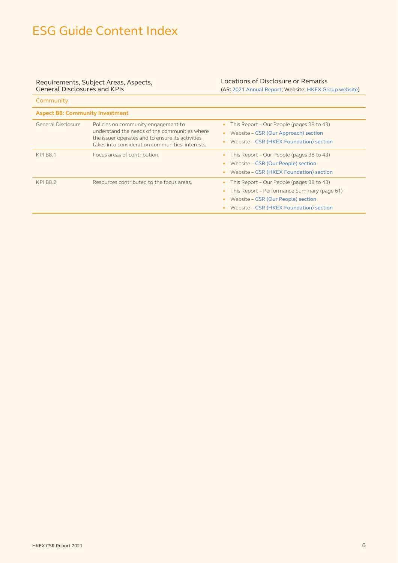#### Requirements, Subject Areas, Aspects, General Disclosures and KPIs

Community of the community

#### Locations of Disclosure or Remarks (AR: [2021 Annual Report](https://www.hkexgroup.com/-/media/HKEX-Group-Site/ssd/Investor-Relations/Regulatory-Reports/documents/2022/220314ar_e.pdf); Website: [HKEX Group website\)](https://www.hkexgroup.com/?sc_lang=en)

| COMMITTED                              |                                                                                                                                                                                              |                                                                                                                                                                           |
|----------------------------------------|----------------------------------------------------------------------------------------------------------------------------------------------------------------------------------------------|---------------------------------------------------------------------------------------------------------------------------------------------------------------------------|
| <b>Aspect B8: Community Investment</b> |                                                                                                                                                                                              |                                                                                                                                                                           |
| General Disclosure                     | Policies on community engagement to<br>understand the needs of the communities where<br>the issuer operates and to ensure its activities<br>takes into consideration communities' interests. | This Report – Our People (pages 38 to 43)<br>Website - CSR (Our Approach) section<br>Website - CSR (HKEX Foundation) section                                              |
| <b>KPI B8.1</b>                        | Focus areas of contribution.                                                                                                                                                                 | This Report – Our People (pages 38 to 43)<br>Website - CSR (Our People) section<br>Website - CSR (HKEX Foundation) section                                                |
| <b>KPI B8.2</b>                        | Resources contributed to the focus areas.                                                                                                                                                    | This Report – Our People (pages 38 to 43)<br>This Report - Performance Summary (page 61)<br>Website - CSR (Our People) section<br>Website - CSR (HKEX Foundation) section |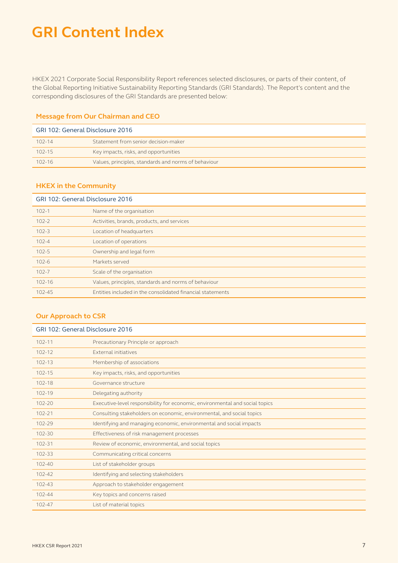HKEX 2021 Corporate Social Responsibility Report references selected disclosures, or parts of their content, of the Global Reporting Initiative Sustainability Reporting Standards (GRI Standards). The Report's content and the corresponding disclosures of the GRI Standards are presented below:

#### **Message from Our Chairman and CEO**

| GRI 102: General Disclosure 2016 |                                                      |
|----------------------------------|------------------------------------------------------|
| $102 - 14$                       | Statement from senior decision-maker                 |
| $102 - 15$                       | Key impacts, risks, and opportunities                |
| $102 - 16$                       | Values, principles, standards and norms of behaviour |

#### **HKEX in the Community**

| GRI 102: General Disclosure 2016 |                                                            |  |
|----------------------------------|------------------------------------------------------------|--|
| $102 - 1$                        | Name of the organisation                                   |  |
| $102 - 2$                        | Activities, brands, products, and services                 |  |
| $102 - 3$                        | Location of headquarters                                   |  |
| $102 - 4$                        | Location of operations                                     |  |
| $102 - 5$                        | Ownership and legal form                                   |  |
| $102 - 6$                        | Markets served                                             |  |
| $102 - 7$                        | Scale of the organisation                                  |  |
| $102 - 16$                       | Values, principles, standards and norms of behaviour       |  |
| $102 - 45$                       | Entities included in the consolidated financial statements |  |

#### **Our Approach to CSR**

| GRI 102: General Disclosure 2016 |                                                                              |
|----------------------------------|------------------------------------------------------------------------------|
| $102 - 11$                       | Precautionary Principle or approach                                          |
| $102 - 12$                       | <b>External initiatives</b>                                                  |
| $102 - 13$                       | Membership of associations                                                   |
| $102 - 15$                       | Key impacts, risks, and opportunities                                        |
| $102 - 18$                       | Governance structure                                                         |
| $102 - 19$                       | Delegating authority                                                         |
| $102 - 20$                       | Executive-level responsibility for economic, environmental and social topics |
| $102 - 21$                       | Consulting stakeholders on economic, environmental, and social topics        |
| $102 - 29$                       | Identifying and managing economic, environmental and social impacts          |
| $102 - 30$                       | Effectiveness of risk management processes                                   |
| $102 - 31$                       | Review of economic, environmental, and social topics                         |
| $102 - 33$                       | Communicating critical concerns                                              |
| $102 - 40$                       | List of stakeholder groups                                                   |
| $102 - 42$                       | Identifying and selecting stakeholders                                       |
| $102 - 43$                       | Approach to stakeholder engagement                                           |
| $102 - 44$                       | Key topics and concerns raised                                               |
| $102 - 47$                       | List of material topics                                                      |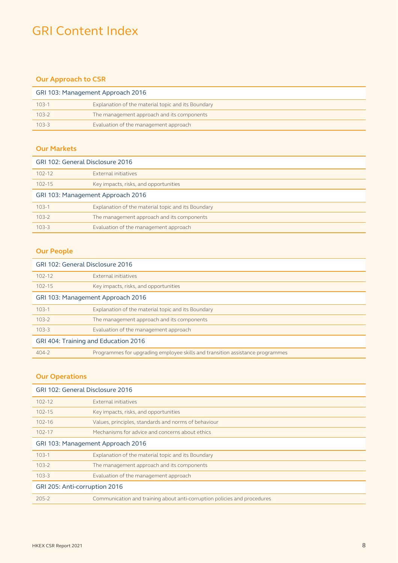### **Our Approach to CSR**

| GRI 103: Management Approach 2016 |                                                    |
|-----------------------------------|----------------------------------------------------|
| $103 - 1$                         | Explanation of the material topic and its Boundary |
| $103 - 2$                         | The management approach and its components         |
| $103 - 3$                         | Evaluation of the management approach              |

#### **Our Markets**

| GRI 102: General Disclosure 2016  |                                                    |
|-----------------------------------|----------------------------------------------------|
| $102 - 12$                        | External initiatives                               |
| $102 - 15$                        | Key impacts, risks, and opportunities              |
| GRI 103: Management Approach 2016 |                                                    |
| $103 - 1$                         | Explanation of the material topic and its Boundary |
| $103 - 2$                         | The management approach and its components         |
| $103 - 3$                         | Evaluation of the management approach              |

### **Our People**

| GRI 102: General Disclosure 2016     |                                                                               |  |
|--------------------------------------|-------------------------------------------------------------------------------|--|
| $102 - 12$                           | External initiatives                                                          |  |
| $102 - 15$                           | Key impacts, risks, and opportunities                                         |  |
| GRI 103: Management Approach 2016    |                                                                               |  |
| $103 - 1$                            | Explanation of the material topic and its Boundary                            |  |
| $103-2$                              | The management approach and its components                                    |  |
| $103 - 3$                            | Evaluation of the management approach                                         |  |
| GRI 404: Training and Education 2016 |                                                                               |  |
| $404 - 2$                            | Programmes for upgrading employee skills and transition assistance programmes |  |

### **Our Operations**

| GRI 102: General Disclosure 2016  |                                                                          |  |
|-----------------------------------|--------------------------------------------------------------------------|--|
| $102 - 12$                        | External initiatives                                                     |  |
| $102 - 15$                        | Key impacts, risks, and opportunities                                    |  |
| $102 - 16$                        | Values, principles, standards and norms of behaviour                     |  |
| $102 - 17$                        | Mechanisms for advice and concerns about ethics                          |  |
| GRI 103: Management Approach 2016 |                                                                          |  |
| $103 - 1$                         | Explanation of the material topic and its Boundary                       |  |
| $103 - 2$                         | The management approach and its components                               |  |
| $103 - 3$                         | Evaluation of the management approach                                    |  |
| GRI 205: Anti-corruption 2016     |                                                                          |  |
| $205 - 2$                         | Communication and training about anti-corruption policies and procedures |  |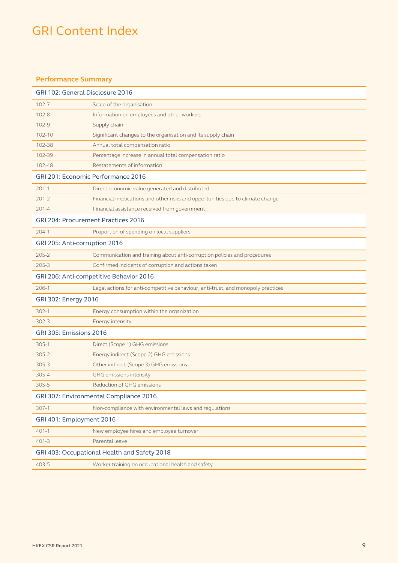#### **Performance Summary**

| GRI 102: General Disclosure 2016             |                                                                                  |  |
|----------------------------------------------|----------------------------------------------------------------------------------|--|
| $102 - 7$                                    | Scale of the organisation                                                        |  |
| $102 - 8$                                    | Information on employees and other workers                                       |  |
| $102 - 9$                                    | Supply chain                                                                     |  |
| $102 - 10$                                   | Significant changes to the organisation and its supply chain                     |  |
| 102-38                                       | Annual total compensation ratio                                                  |  |
| 102-39                                       | Percentage increase in annual total compensation ratio                           |  |
| 102-48                                       | Restatements of information                                                      |  |
|                                              | GRI 201: Economic Performance 2016                                               |  |
| $201 - 1$                                    | Direct economic value generated and distributed                                  |  |
| $201 - 2$                                    | Financial implications and other risks and opportunities due to climate change   |  |
| $201 - 4$                                    | Financial assistance received from government                                    |  |
|                                              | GRI 204: Procurement Practices 2016                                              |  |
| $204-1$                                      | Proportion of spending on local suppliers                                        |  |
| GRI 205: Anti-corruption 2016                |                                                                                  |  |
| $205 - 2$                                    | Communication and training about anti-corruption policies and procedures         |  |
| $205 - 3$                                    | Confirmed incidents of corruption and actions taken                              |  |
|                                              | GRI 206: Anti-competitive Behavior 2016                                          |  |
| $206-1$                                      | Legal actions for anti-competitive behaviour, anti-trust, and monopoly practices |  |
| GRI 302: Energy 2016                         |                                                                                  |  |
| $302 - 1$                                    | Energy consumption within the organization                                       |  |
| $302 - 3$                                    | Energy intensity                                                                 |  |
| GRI 305: Emissions 2016                      |                                                                                  |  |
| $305 - 1$                                    | Direct (Scope 1) GHG emissions                                                   |  |
| $305 - 2$                                    | Energy indirect (Scope 2) GHG emissions                                          |  |
| $305 - 3$                                    | Other indirect (Scope 3) GHG emissions                                           |  |
| $305 - 4$                                    | GHG emissions intensity                                                          |  |
| $305 - 5$                                    | Reduction of GHG emissions                                                       |  |
| GRI 307: Environmental Compliance 2016       |                                                                                  |  |
| $307-1$                                      | Non-compliance with environmental laws and regulations                           |  |
| GRI 401: Employment 2016                     |                                                                                  |  |
| $401 - 1$                                    | New employee hires and employee turnover                                         |  |
| $401 - 3$                                    | Parental leave                                                                   |  |
| GRI 403: Occupational Health and Safety 2018 |                                                                                  |  |
| $403 - 5$                                    | Worker training on occupational health and safety                                |  |